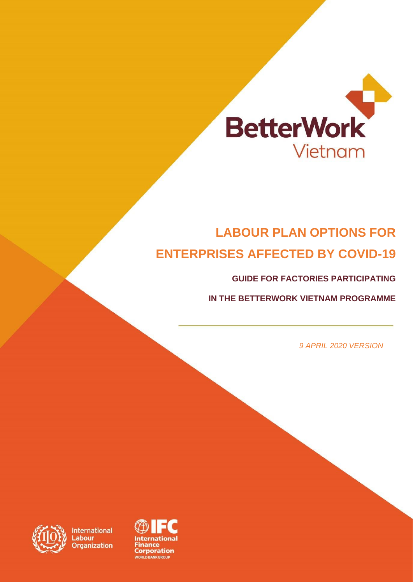

## **LABOUR PLAN OPTIONS FOR ENTERPRISES AFFECTED BY COVID-19**

**GUIDE FOR FACTORIES PARTICIPATING** 

**IN THE BETTERWORK VIETNAM PROGRAMME**

*9 APRIL 2020 VERSION*



**International abour** rganization

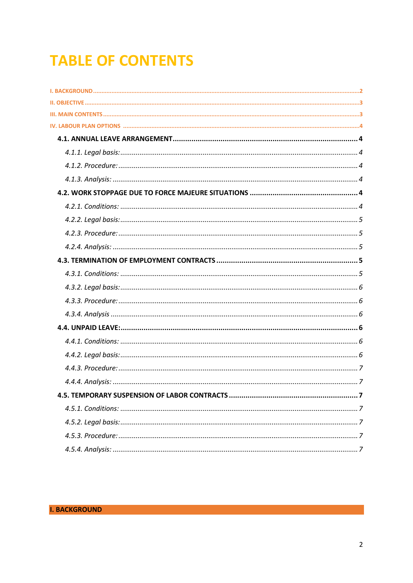# **TABLE OF CONTENTS**

<span id="page-1-0"></span>

| 4.5. TEMPORARY SUSPENSION OF LABOR CONTRACTS<br>. 7 |
|-----------------------------------------------------|
|                                                     |
|                                                     |
|                                                     |
|                                                     |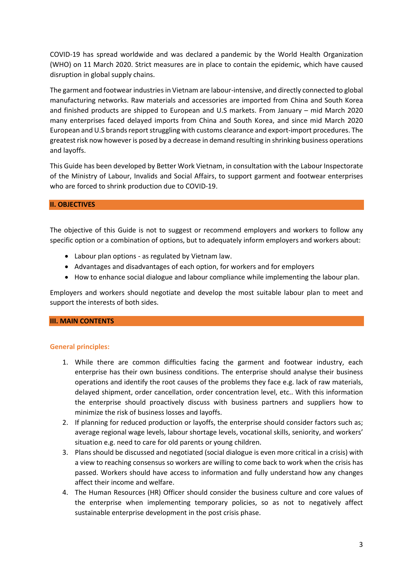COVID-19 has spread worldwide and was declared a pandemic by the World Health Organization (WHO) on 11 March 2020. Strict measures are in place to contain the epidemic, which have caused disruption in global supply chains.

The garment and footwear industriesin Vietnam are labour-intensive, and directly connected to global manufacturing networks. Raw materials and accessories are imported from China and South Korea and finished products are shipped to European and U.S markets. From January – mid March 2020 many enterprises faced delayed imports from China and South Korea, and since mid March 2020 European and U.S brands report struggling with customs clearance and export-import procedures. The greatest risk now however is posed by a decrease in demand resulting in shrinking business operations and layoffs.

This Guide has been developed by Better Work Vietnam, in consultation with the Labour Inspectorate of the Ministry of Labour, Invalids and Social Affairs, to support garment and footwear enterprises who are forced to shrink production due to COVID-19.

## <span id="page-2-0"></span>**II. OBJECTIVES**

The objective of this Guide is not to suggest or recommend employers and workers to follow any specific option or a combination of options, but to adequately inform employers and workers about:

- Labour plan options as regulated by Vietnam law.
- Advantages and disadvantages of each option, for workers and for employers
- How to enhance social dialogue and labour compliance while implementing the labour plan.

Employers and workers should negotiate and develop the most suitable labour plan to meet and support the interests of both sides.

#### <span id="page-2-1"></span>**III. MAIN CONTENTS**

#### **General principles:**

- 1. While there are common difficulties facing the garment and footwear industry, each enterprise has their own business conditions. The enterprise should analyse their business operations and identify the root causes of the problems they face e.g. lack of raw materials, delayed shipment, order cancellation, order concentration level, etc.. With this information the enterprise should proactively discuss with business partners and suppliers how to minimize the risk of business losses and layoffs.
- 2. If planning for reduced production or layoffs, the enterprise should consider factors such as; average regional wage levels, labour shortage levels, vocational skills, seniority, and workers' situation e.g. need to care for old parents or young children.
- 3. Plans should be discussed and negotiated (social dialogue is even more critical in a crisis) with a view to reaching consensus so workers are willing to come back to work when the crisis has passed. Workers should have access to information and fully understand how any changes affect their income and welfare.
- 4. The Human Resources (HR) Officer should consider the business culture and core values of the enterprise when implementing temporary policies, so as not to negatively affect sustainable enterprise development in the post crisis phase.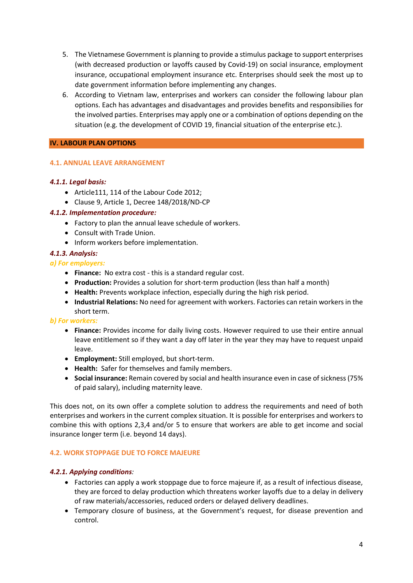- 5. The Vietnamese Government is planning to provide a stimulus package to support enterprises (with decreased production or layoffs caused by Covid-19) on social insurance, employment insurance, occupational employment insurance etc. Enterprises should seek the most up to date government information before implementing any changes.
- 6. According to Vietnam law, enterprises and workers can consider the following labour plan options. Each has advantages and disadvantages and provides benefits and responsibilies for the involved parties. Enterprises may apply one or a combination of options depending on the situation (e.g. the development of COVID 19, financial situation of the enterprise etc.).

## <span id="page-3-1"></span><span id="page-3-0"></span>**IV. LABOUR PLAN OPTIONS**

## **4.1. ANNUAL LEAVE ARRANGEMENT**

## <span id="page-3-2"></span>*4.1.1. Legal basis:*

- Article111, 114 of the Labour Code 2012;
- Clause 9, Article 1, Decree 148/2018/ND-CP

## <span id="page-3-3"></span>*4.1.2. Implementation procedure:*

- Factory to plan the annual leave schedule of workers.
- Consult with Trade Union.
- Inform workers before implementation.

## <span id="page-3-4"></span>*4.1.3. Analysis:*

## *a) For employers:*

- **Finance:** No extra cost this is a standard regular cost.
- **Production:** Provides a solution for short-term production (less than half a month)
- **Health:** Prevents workplace infection, especially during the high risk period.
- **Industrial Relations:** No need for agreement with workers. Factories can retain workers in the short term.

#### *b) For workers:*

- **Finance:** Provides income for daily living costs. However required to use their entire annual leave entitlement so if they want a day off later in the year they may have to request unpaid leave.
- **Employment:** Still employed, but short-term.
- **Health:** Safer for themselves and family members.
- **Social insurance:** Remain covered by social and health insurance even in case of sickness (75% of paid salary), including maternity leave.

This does not, on its own offer a complete solution to address the requirements and need of both enterprises and workers in the current complex situation. It is possible for enterprises and workers to combine this with options 2,3,4 and/or 5 to ensure that workers are able to get income and social insurance longer term (i.e. beyond 14 days).

#### <span id="page-3-5"></span>**4.2. WORK STOPPAGE DUE TO FORCE MAJEURE**

## <span id="page-3-6"></span>*4.2.1. Applying conditions:*

- Factories can apply a work stoppage due to force majeure if, as a result of infectious disease, they are forced to delay production which threatens worker layoffs due to a delay in delivery of raw materials/accessories, reduced orders or delayed delivery deadlines.
- Temporary closure of business, at the Government's request, for disease prevention and control.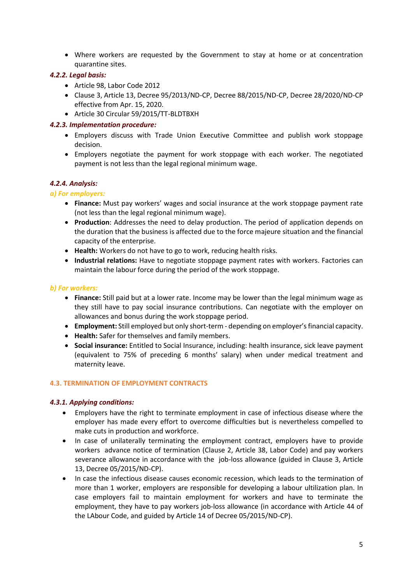• Where workers are requested by the Government to stay at home or at concentration quarantine sites.

## <span id="page-4-0"></span>*4.2.2. Legal basis:*

- Article 98, Labor Code 2012
- Clause 3, Article 13, Decree 95/2013/ND-CP, Decree 88/2015/ND-CP, Decree 28/2020/ND-CP effective from Apr. 15, 2020.
- Article 30 Circular 59/2015/TT-BLDTBXH

## <span id="page-4-1"></span>*4.2.3. Implementation procedure:*

- Employers discuss with Trade Union Executive Committee and publish work stoppage decision.
- Employers negotiate the payment for work stoppage with each worker. The negotiated payment is not less than the legal regional minimum wage.

## <span id="page-4-2"></span>*4.2.4. Analysis:*

## *a) For employers:*

- **Finance:** Must pay workers' wages and social insurance at the work stoppage payment rate (not less than the legal regional minimum wage).
- **Production**: Addresses the need to delay production. The period of application depends on the duration that the business is affected due to the force majeure situation and the financial capacity of the enterprise.
- **Health:** Workers do not have to go to work, reducing health risks.
- **Industrial relations:** Have to negotiate stoppage payment rates with workers. Factories can maintain the labour force during the period of the work stoppage.

#### *b) For workers:*

- **Finance:** Still paid but at a lower rate. Income may be lower than the legal minimum wage as they still have to pay social insurance contributions. Can negotiate with the employer on allowances and bonus during the work stoppage period.
- **Employment:** Still employed but only short-term depending on employer's financial capacity.
- **Health:** Safer for themselves and family members.
- **Social insurance:** Entitled to Social Insurance, including: health insurance, sick leave payment (equivalent to 75% of preceding 6 months' salary) when under medical treatment and maternity leave.

#### <span id="page-4-3"></span>**4.3. TERMINATION OF EMPLOYMENT CONTRACTS**

#### <span id="page-4-4"></span>*4.3.1. Applying conditions:*

- Employers have the right to terminate employment in case of infectious disease where the employer has made every effort to overcome difficulties but is nevertheless compelled to make cuts in production and workforce.
- In case of unilaterally terminating the employment contract, employers have to provide workers advance notice of termination (Clause 2, Article 38, Labor Code) and pay workers severance allowance in accordance with the job-loss allowance (guided in Clause 3, Article 13, Decree 05/2015/ND-CP).
- In case the infectious disease causes economic recession, which leads to the termination of more than 1 worker, employers are responsible for developing a labour ultilization plan. In case employers fail to maintain employment for workers and have to terminate the employment, they have to pay workers job-loss allowance (in accordance with Article 44 of the LAbour Code, and guided by Article 14 of Decree 05/2015/ND-CP).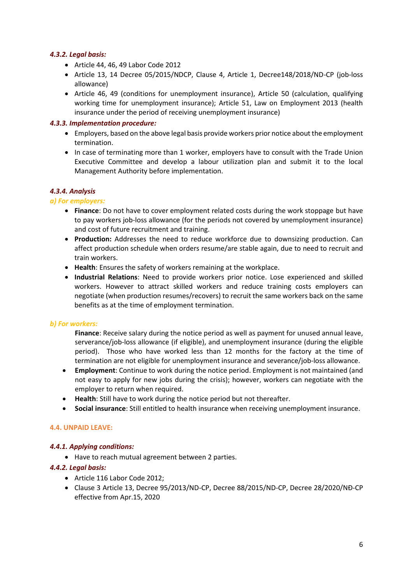## <span id="page-5-0"></span>*4.3.2. Legal basis:*

- Article 44, 46, 49 Labor Code 2012
- Article 13, 14 Decree 05/2015/NDCP, Clause 4, Article 1, Decree148/2018/ND-CP (job-loss allowance)
- Article 46, 49 (conditions for unemployment insurance), Article 50 (calculation, qualifying working time for unemployment insurance); Article 51, Law on Employment 2013 (health insurance under the period of receiving unemployment insurance)

#### <span id="page-5-1"></span>*4.3.3. Implementation procedure:*

- Employers, based on the above legal basis provide workers prior notice about the employment termination.
- In case of terminating more than 1 worker, employers have to consult with the Trade Union Executive Committee and develop a labour utilization plan and submit it to the local Management Authority before implementation.

## <span id="page-5-2"></span>*4.3.4. Analysis*

#### *a) For employers:*

- **Finance**: Do not have to cover employment related costs during the work stoppage but have to pay workers job-loss allowance (for the periods not covered by unemployment insurance) and cost of future recruitment and training.
- **Production:** Addresses the need to reduce workforce due to downsizing production. Can affect production schedule when orders resume/are stable again, due to need to recruit and train workers.
- **Health**: Ensures the safety of workers remaining at the workplace.
- **Industrial Relations**: Need to provide workers prior notice. Lose experienced and skilled workers. However to attract skilled workers and reduce training costs employers can negotiate (when production resumes/recovers) to recruit the same workers back on the same benefits as at the time of employment termination.

#### *b) For workers:*

**Finance**: Receive salary during the notice period as well as payment for unused annual leave, serverance/job-loss allowance (if eligible), and unemployment insurance (during the eligible period). Those who have worked less than 12 months for the factory at the time of termination are not eligible for unemployment insurance and severance/job-loss allowance.

- **Employment**: Continue to work during the notice period. Employment is not maintained (and not easy to apply for new jobs during the crisis); however, workers can negotiate with the employer to return when required.
- **Health**: Still have to work during the notice period but not thereafter.
- **Social insurance**: Still entitled to health insurance when receiving unemployment insurance.

#### <span id="page-5-3"></span>**4.4. UNPAID LEAVE:**

#### <span id="page-5-4"></span>*4.4.1. Applying conditions:*

• Have to reach mutual agreement between 2 parties.

#### <span id="page-5-5"></span>*4.4.2. Legal basis:*

- Article 116 Labor Code 2012;
- Clause 3 Article 13, Decree 95/2013/ND-CP, Decree 88/2015/ND-CP, Decree 28/2020/NĐ-CP effective from Apr.15, 2020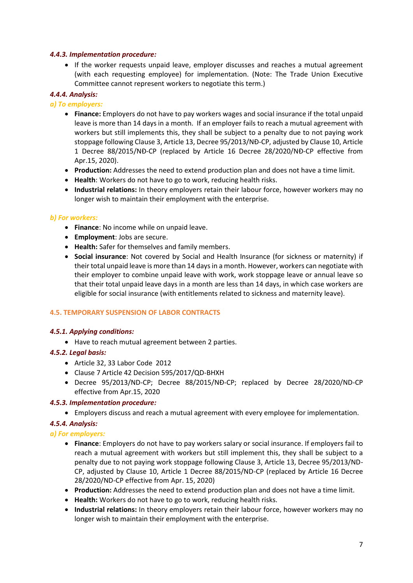#### <span id="page-6-0"></span>*4.4.3. Implementation procedure:*

• If the worker requests unpaid leave, employer discusses and reaches a mutual agreement (with each requesting employee) for implementation. (Note: The Trade Union Executive Committee cannot represent workers to negotiate this term.)

## <span id="page-6-1"></span>*4.4.4. Analysis:*

## *a) To employers:*

- **Finance:** Employers do not have to pay workers wages and social insurance if the total unpaid leave is more than 14 days in a month. If an employer fails to reach a mutual agreement with workers but still implements this, they shall be subject to a penalty due to not paying work stoppage following Clause 3, Article 13, Decree 95/2013/NĐ-CP, adjusted by Clause 10, Article 1 Decree 88/2015/NĐ-CP (replaced by Article 16 Decree 28/2020/NĐ-CP effective from Apr.15, 2020).
- **Production:** Addresses the need to extend production plan and does not have a time limit.
- **Health**: Workers do not have to go to work, reducing health risks.
- **Industrial relations:** In theory employers retain their labour force, however workers may no longer wish to maintain their employment with the enterprise.

## *b) For workers:*

- **Finance**: No income while on unpaid leave.
- **Employment**: Jobs are secure.
- **Health:** Safer for themselves and family members.
- **Social insurance**: Not covered by Social and Health Insurance (for sickness or maternity) if their total unpaid leave is more than 14 days in a month. However, workers can negotiate with their employer to combine unpaid leave with work, work stoppage leave or annual leave so that their total unpaid leave days in a month are less than 14 days, in which case workers are eligible for social insurance (with entitlements related to sickness and maternity leave).

#### <span id="page-6-2"></span>**4.5. TEMPORARY SUSPENSION OF LABOR CONTRACTS**

#### <span id="page-6-3"></span>*4.5.1. Applying conditions:*

• Have to reach mutual agreement between 2 parties.

## <span id="page-6-4"></span>*4.5.2. Legal basis:*

- Article 32, 33 Labor Code 2012
- Clause 7 Article 42 Decision 595/2017/QD-BHXH
- Decree 95/2013/ND-CP; Decree 88/2015/NĐ-CP; replaced by Decree 28/2020/ND-CP effective from Apr.15, 2020

#### <span id="page-6-5"></span>*4.5.3. Implementation procedure:*

• Employers discuss and reach a mutual agreement with every employee for implementation.

## <span id="page-6-6"></span>*4.5.4. Analysis:*

## *a) For employers:*

- **Finance**: Employers do not have to pay workers salary or social insurance. If employers fail to reach a mutual agreement with workers but still implement this, they shall be subject to a penalty due to not paying work stoppage following Clause 3, Article 13, Decree 95/2013/ND-CP, adjusted by Clause 10, Article 1 Decree 88/2015/ND-CP (replaced by Article 16 Decree 28/2020/ND-CP effective from Apr. 15, 2020)
- **Production:** Addresses the need to extend production plan and does not have a time limit.
- **Health:** Workers do not have to go to work, reducing health risks.
- **Industrial relations:** In theory employers retain their labour force, however workers may no longer wish to maintain their employment with the enterprise.